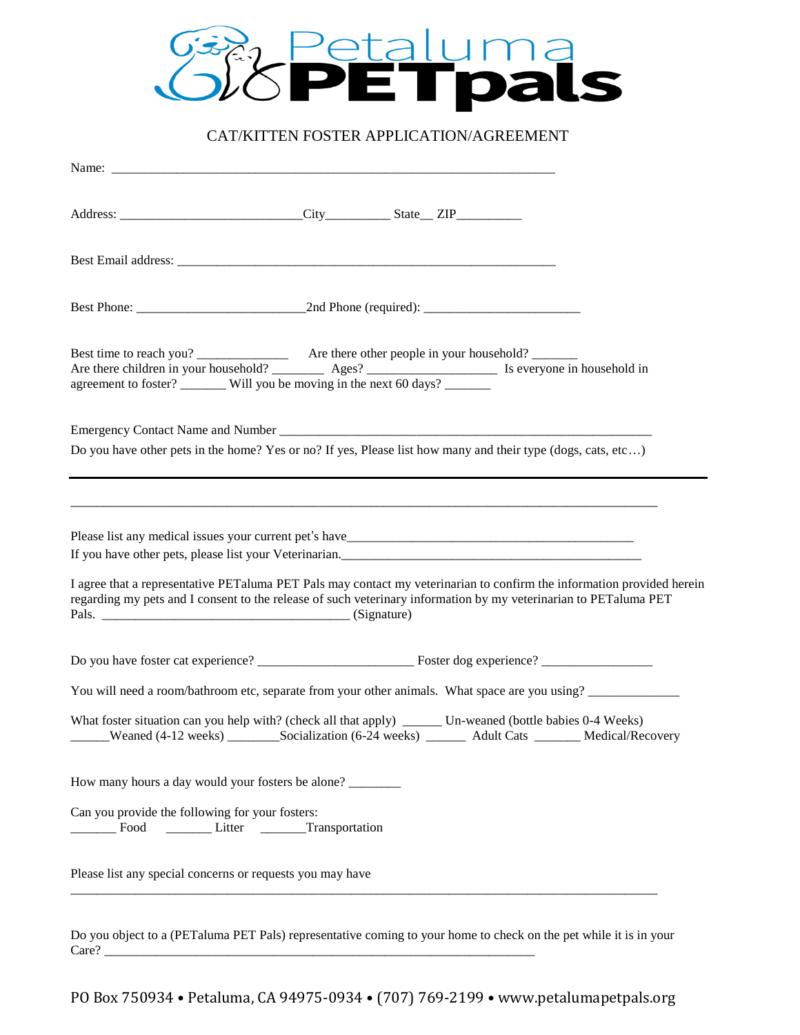

# CAT/KITTEN FOSTER APPLICATION/AGREEMENT

| Are there children in your household? $\frac{1}{\sqrt{1-\frac{1}{\sqrt{1-\frac{1}{\sqrt{1-\frac{1}{\sqrt{1-\frac{1}{\sqrt{1-\frac{1}{\sqrt{1-\frac{1}{\sqrt{1-\frac{1}{\sqrt{1-\frac{1}{\sqrt{1-\frac{1}{\sqrt{1-\frac{1}{\sqrt{1-\frac{1}{\sqrt{1-\frac{1}{\sqrt{1-\frac{1}{\sqrt{1-\frac{1}{\sqrt{1-\frac{1}{\sqrt{1-\frac{1}{\sqrt{1-\frac{1}{\sqrt{1-\frac{1}{\sqrt{1-\frac{1}{\sqrt{1-\frac$ |
|---------------------------------------------------------------------------------------------------------------------------------------------------------------------------------------------------------------------------------------------------------------------------------------------------------------------------------------------------------------------------------------------------|
| Do you have other pets in the home? Yes or no? If yes, Please list how many and their type (dogs, cats, etc)                                                                                                                                                                                                                                                                                      |
| If you have other pets, please list your Veterinarian.<br>I agree that a representative PET aluma PET Pals may contact my veterinarian to confirm the information provided herein<br>regarding my pets and I consent to the release of such veterinary information by my veterinarian to PET aluma PET                                                                                            |
|                                                                                                                                                                                                                                                                                                                                                                                                   |
| You will need a room/bathroom etc, separate from your other animals. What space are you using?                                                                                                                                                                                                                                                                                                    |
| What foster situation can you help with? (check all that apply) _______ Un-weaned (bottle babies 0-4 Weeks)                                                                                                                                                                                                                                                                                       |
| How many hours a day would your fosters be alone?                                                                                                                                                                                                                                                                                                                                                 |
| Can you provide the following for your fosters:<br>Litter <u>Transportation</u><br>Food                                                                                                                                                                                                                                                                                                           |
| Please list any special concerns or requests you may have                                                                                                                                                                                                                                                                                                                                         |

Do you object to a (PETaluma PET Pals) representative coming to your home to check on the pet while it is in your Care? \_\_\_\_\_\_\_\_\_\_\_\_\_\_\_\_\_\_\_\_\_\_\_\_\_\_\_\_\_\_\_\_\_\_\_\_\_\_\_\_\_\_\_\_\_\_\_\_\_\_\_\_\_\_\_\_\_\_\_\_\_\_\_\_\_\_